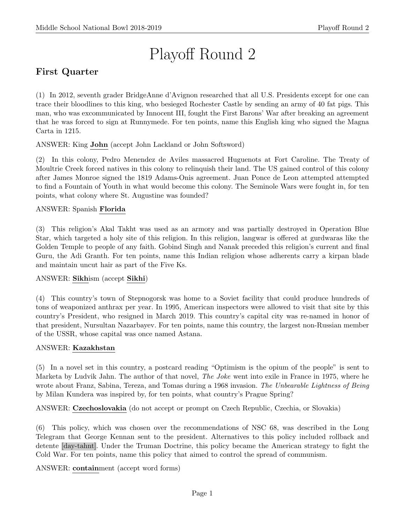# Playoff Round 2

# First Quarter

(1) In 2012, seventh grader BridgeAnne d'Avignon researched that all U.S. Presidents except for one can trace their bloodlines to this king, who besieged Rochester Castle by sending an army of 40 fat pigs. This man, who was excommunicated by Innocent III, fought the First Barons' War after breaking an agreement that he was forced to sign at Runnymede. For ten points, name this English king who signed the Magna Carta in 1215.

ANSWER: King John (accept John Lackland or John Softsword)

(2) In this colony, Pedro Menendez de Aviles massacred Huguenots at Fort Caroline. The Treaty of Moultrie Creek forced natives in this colony to relinquish their land. The US gained control of this colony after James Monroe signed the 1819 Adams-Onis agreement. Juan Ponce de Leon attempted attempted to find a Fountain of Youth in what would become this colony. The Seminole Wars were fought in, for ten points, what colony where St. Augustine was founded?

# ANSWER: Spanish Florida

(3) This religion's Akal Takht was used as an armory and was partially destroyed in Operation Blue Star, which targeted a holy site of this religion. In this religion, langwar is offered at gurdwaras like the Golden Temple to people of any faith. Gobind Singh and Nanak preceded this religion's current and final Guru, the Adi Granth. For ten points, name this Indian religion whose adherents carry a kirpan blade and maintain uncut hair as part of the Five Ks.

# ANSWER: Sikhism (accept Sikhi)

(4) This country's town of Stepnogorsk was home to a Soviet facility that could produce hundreds of tons of weaponized anthrax per year. In 1995, American inspectors were allowed to visit that site by this country's President, who resigned in March 2019. This country's capital city was re-named in honor of that president, Nursultan Nazarbayev. For ten points, name this country, the largest non-Russian member of the USSR, whose capital was once named Astana.

#### ANSWER: Kazakhstan

(5) In a novel set in this country, a postcard reading "Optimism is the opium of the people" is sent to Marketa by Ludvik Jahn. The author of that novel, The Joke went into exile in France in 1975, where he wrote about Franz, Sabina, Tereza, and Tomas during a 1968 invasion. The Unbearable Lightness of Being by Milan Kundera was inspired by, for ten points, what country's Prague Spring?

ANSWER: Czechoslovakia (do not accept or prompt on Czech Republic, Czechia, or Slovakia)

(6) This policy, which was chosen over the recommendations of NSC 68, was described in the Long Telegram that George Kennan sent to the president. Alternatives to this policy included rollback and detente [day-tahnt]. Under the Truman Doctrine, this policy became the American strategy to fight the Cold War. For ten points, name this policy that aimed to control the spread of communism.

ANSWER: containment (accept word forms)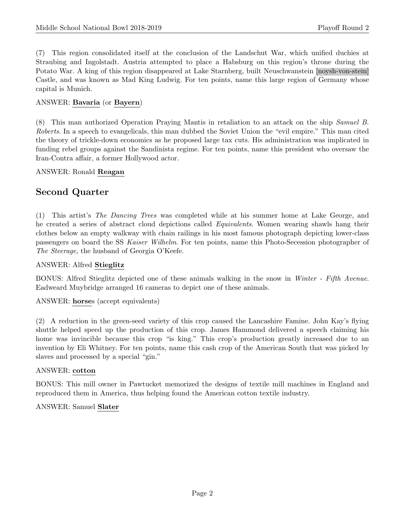(7) This region consolidated itself at the conclusion of the Landschut War, which unified duchies at Straubing and Ingolstadt. Austria attempted to place a Habsburg on this region's throne during the Potato War. A king of this region disappeared at Lake Starnberg, built Neuschwanstein [noysh-von-stein] Castle, and was known as Mad King Ludwig. For ten points, name this large region of Germany whose capital is Munich.

# ANSWER: Bavaria (or Bayern)

(8) This man authorized Operation Praying Mantis in retaliation to an attack on the ship Samuel B. Roberts. In a speech to evangelicals, this man dubbed the Soviet Union the "evil empire." This man cited the theory of trickle-down economics as he proposed large tax cuts. His administration was implicated in funding rebel groups against the Sandinista regime. For ten points, name this president who oversaw the Iran-Contra affair, a former Hollywood actor.

# ANSWER: Ronald Reagan

# Second Quarter

(1) This artist's The Dancing Trees was completed while at his summer home at Lake George, and he created a series of abstract cloud depictions called *Equivalents*. Women wearing shawls hang their clothes below an empty walkway with chain railings in his most famous photograph depicting lower-class passengers on board the SS Kaiser Wilhelm. For ten points, name this Photo-Secession photographer of The Steerage, the husband of Georgia O'Keefe.

# ANSWER: Alfred Stieglitz

BONUS: Alfred Stieglitz depicted one of these animals walking in the snow in Winter - Fifth Avenue. Eadweard Muybridge arranged 16 cameras to depict one of these animals.

ANSWER: horses (accept equivalents)

(2) A reduction in the green-seed variety of this crop caused the Lancashire Famine. John Kay's flying shuttle helped speed up the production of this crop. James Hammond delivered a speech claiming his home was invincible because this crop "is king." This crop's production greatly increased due to an invention by Eli Whitney. For ten points, name this cash crop of the American South that was picked by slaves and processed by a special "gin."

#### ANSWER: cotton

BONUS: This mill owner in Pawtucket memorized the designs of textile mill machines in England and reproduced them in America, thus helping found the American cotton textile industry.

#### ANSWER: Samuel Slater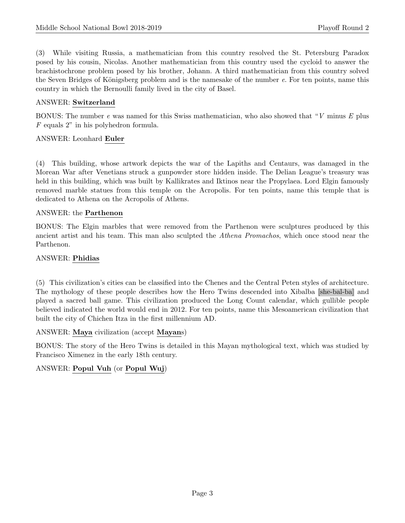(3) While visiting Russia, a mathematician from this country resolved the St. Petersburg Paradox posed by his cousin, Nicolas. Another mathematician from this country used the cycloid to answer the brachistochrone problem posed by his brother, Johann. A third mathematician from this country solved the Seven Bridges of Königsberg problem and is the namesake of the number e. For ten points, name this country in which the Bernoulli family lived in the city of Basel.

# ANSWER: Switzerland

BONUS: The number  $e$  was named for this Swiss mathematician, who also showed that "V minus E plus F equals 2" in his polyhedron formula.

#### ANSWER: Leonhard Euler

(4) This building, whose artwork depicts the war of the Lapiths and Centaurs, was damaged in the Morean War after Venetians struck a gunpowder store hidden inside. The Delian League's treasury was held in this building, which was built by Kallikrates and Iktinos near the Propylaea. Lord Elgin famously removed marble statues from this temple on the Acropolis. For ten points, name this temple that is dedicated to Athena on the Acropolis of Athens.

#### ANSWER: the Parthenon

BONUS: The Elgin marbles that were removed from the Parthenon were sculptures produced by this ancient artist and his team. This man also sculpted the Athena Promachos, which once stood near the Parthenon.

#### ANSWER: Phidias

(5) This civilization's cities can be classified into the Chenes and the Central Peten styles of architecture. The mythology of these people describes how the Hero Twins descended into Xibalba [she-bal-ba] and played a sacred ball game. This civilization produced the Long Count calendar, which gullible people believed indicated the world would end in 2012. For ten points, name this Mesoamerican civilization that built the city of Chichen Itza in the first millennium AD.

ANSWER: Maya civilization (accept Mayans)

BONUS: The story of the Hero Twins is detailed in this Mayan mythological text, which was studied by Francisco Ximenez in the early 18th century.

# ANSWER: Popul Vuh (or Popul Wuj)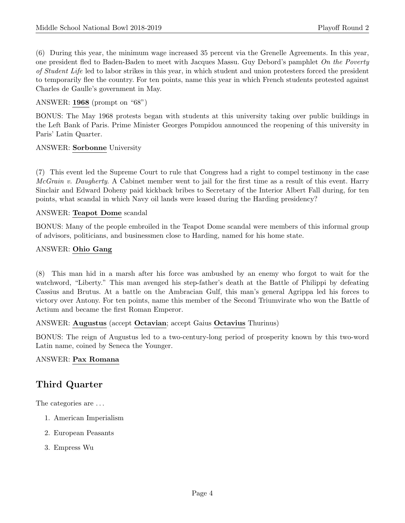(6) During this year, the minimum wage increased 35 percent via the Grenelle Agreements. In this year, one president fled to Baden-Baden to meet with Jacques Massu. Guy Debord's pamphlet On the Poverty of Student Life led to labor strikes in this year, in which student and union protesters forced the president to temporarily flee the country. For ten points, name this year in which French students protested against Charles de Gaulle's government in May.

#### ANSWER: 1968 (prompt on "68")

BONUS: The May 1968 protests began with students at this university taking over public buildings in the Left Bank of Paris. Prime Minister Georges Pompidou announced the reopening of this university in Paris' Latin Quarter.

#### ANSWER: Sorbonne University

(7) This event led the Supreme Court to rule that Congress had a right to compel testimony in the case  $McGrain$  v. Daugherty. A Cabinet member went to jail for the first time as a result of this event. Harry Sinclair and Edward Doheny paid kickback bribes to Secretary of the Interior Albert Fall during, for ten points, what scandal in which Navy oil lands were leased during the Harding presidency?

#### ANSWER: Teapot Dome scandal

BONUS: Many of the people embroiled in the Teapot Dome scandal were members of this informal group of advisors, politicians, and businessmen close to Harding, named for his home state.

#### ANSWER: Ohio Gang

(8) This man hid in a marsh after his force was ambushed by an enemy who forgot to wait for the watchword, "Liberty." This man avenged his step-father's death at the Battle of Philippi by defeating Cassius and Brutus. At a battle on the Ambracian Gulf, this man's general Agrippa led his forces to victory over Antony. For ten points, name this member of the Second Triumvirate who won the Battle of Actium and became the first Roman Emperor.

#### ANSWER: Augustus (accept Octavian; accept Gaius Octavius Thurinus)

BONUS: The reign of Augustus led to a two-century-long period of prosperity known by this two-word Latin name, coined by Seneca the Younger.

# ANSWER: Pax Romana

# Third Quarter

The categories are . . .

- 1. American Imperialism
- 2. European Peasants
- 3. Empress Wu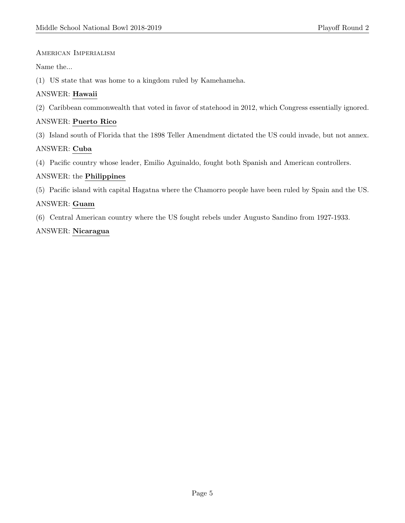#### American Imperialism

Name the...

(1) US state that was home to a kingdom ruled by Kamehameha.

# ANSWER: Hawaii

(2) Caribbean commonwealth that voted in favor of statehood in 2012, which Congress essentially ignored.

# ANSWER: Puerto Rico

(3) Island south of Florida that the 1898 Teller Amendment dictated the US could invade, but not annex.

# ANSWER: Cuba

(4) Pacific country whose leader, Emilio Aguinaldo, fought both Spanish and American controllers.

# ANSWER: the Philippines

(5) Pacific island with capital Hagatna where the Chamorro people have been ruled by Spain and the US.

# ANSWER: Guam

(6) Central American country where the US fought rebels under Augusto Sandino from 1927-1933.

# ANSWER: Nicaragua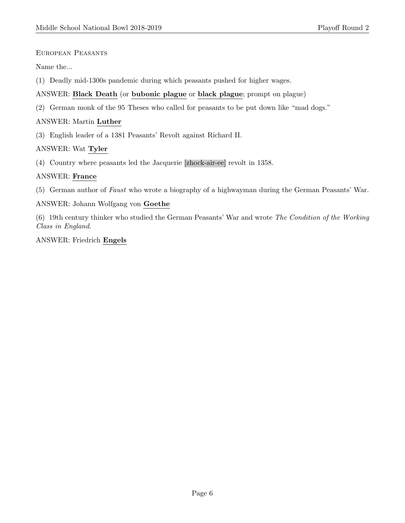European Peasants

Name the...

(1) Deadly mid-1300s pandemic during which peasants pushed for higher wages.

# ANSWER: Black Death (or bubonic plague or black plague; prompt on plague)

(2) German monk of the 95 Theses who called for peasants to be put down like "mad dogs."

# ANSWER: Martin Luther

(3) English leader of a 1381 Peasants' Revolt against Richard II.

# ANSWER: Wat Tyler

(4) Country where peasants led the Jacquerie [zhock-air-ee] revolt in 1358.

# ANSWER: France

(5) German author of Faust who wrote a biography of a highwayman during the German Peasants' War.

# ANSWER: Johann Wolfgang von Goethe

(6) 19th century thinker who studied the German Peasants' War and wrote The Condition of the Working Class in England.

# ANSWER: Friedrich Engels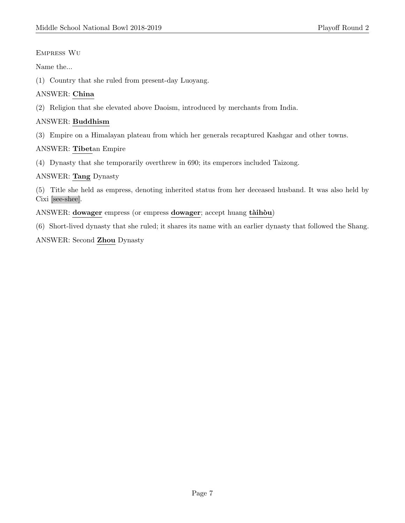# Empress Wu

Name the...

(1) Country that she ruled from present-day Luoyang.

# ANSWER: China

(2) Religion that she elevated above Daoism, introduced by merchants from India.

# ANSWER: Buddhism

(3) Empire on a Himalayan plateau from which her generals recaptured Kashgar and other towns.

# ANSWER: Tibetan Empire

(4) Dynasty that she temporarily overthrew in 690; its emperors included Taizong.

# ANSWER: Tang Dynasty

(5) Title she held as empress, denoting inherited status from her deceased husband. It was also held by Cixi [see-shee].

ANSWER: dowager empress (or empress dowager; accept huang tàihòu)

(6) Short-lived dynasty that she ruled; it shares its name with an earlier dynasty that followed the Shang.

ANSWER: Second Zhou Dynasty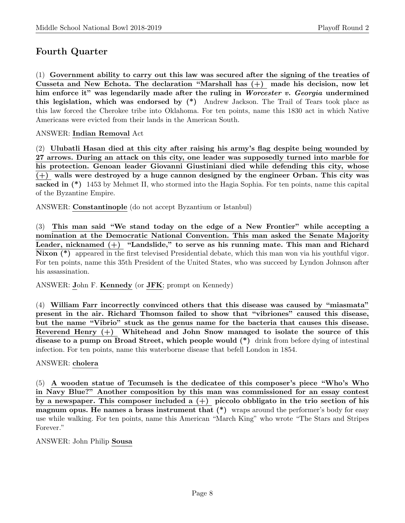# Fourth Quarter

(1) Government ability to carry out this law was secured after the signing of the treaties of Cusseta and New Echota. The declaration "Marshall has (+) made his decision, now let him enforce it" was legendarily made after the ruling in Worcester v. Georgia undermined this legislation, which was endorsed by  $(*)$  Andrew Jackson. The Trail of Tears took place as this law forced the Cherokee tribe into Oklahoma. For ten points, name this 1830 act in which Native Americans were evicted from their lands in the American South.

# ANSWER: Indian Removal Act

(2) Ulubatli Hasan died at this city after raising his army's flag despite being wounded by 27 arrows. During an attack on this city, one leader was supposedly turned into marble for his protection. Genoan leader Giovanni Giustiniani died while defending this city, whose (+) walls were destroyed by a huge cannon designed by the engineer Orban. This city was sacked in  $(*)$  1453 by Mehmet II, who stormed into the Hagia Sophia. For ten points, name this capital of the Byzantine Empire.

ANSWER: Constantinople (do not accept Byzantium or Istanbul)

(3) This man said "We stand today on the edge of a New Frontier" while accepting a nomination at the Democratic National Convention. This man asked the Senate Majority Leader, nicknamed (+) "Landslide," to serve as his running mate. This man and Richard Nixon (\*) appeared in the first televised Presidential debate, which this man won via his youthful vigor. For ten points, name this 35th President of the United States, who was succeed by Lyndon Johnson after his assassination.

ANSWER: John F. Kennedy (or JFK; prompt on Kennedy)

(4) William Farr incorrectly convinced others that this disease was caused by "miasmata" present in the air. Richard Thomson failed to show that "vibriones" caused this disease, but the name "Vibrio" stuck as the genus name for the bacteria that causes this disease. Reverend Henry (+) Whitehead and John Snow managed to isolate the source of this disease to a pump on Broad Street, which people would (\*) drink from before dying of intestinal infection. For ten points, name this waterborne disease that befell London in 1854.

# ANSWER: cholera

(5) A wooden statue of Tecumseh is the dedicatee of this composer's piece "Who's Who in Navy Blue?" Another composition by this man was commissioned for an essay contest by a newspaper. This composer included a  $(+)$  piccolo obbligato in the trio section of his magnum opus. He names a brass instrument that (\*) wraps around the performer's body for easy use while walking. For ten points, name this American "March King" who wrote "The Stars and Stripes Forever."

ANSWER: John Philip Sousa